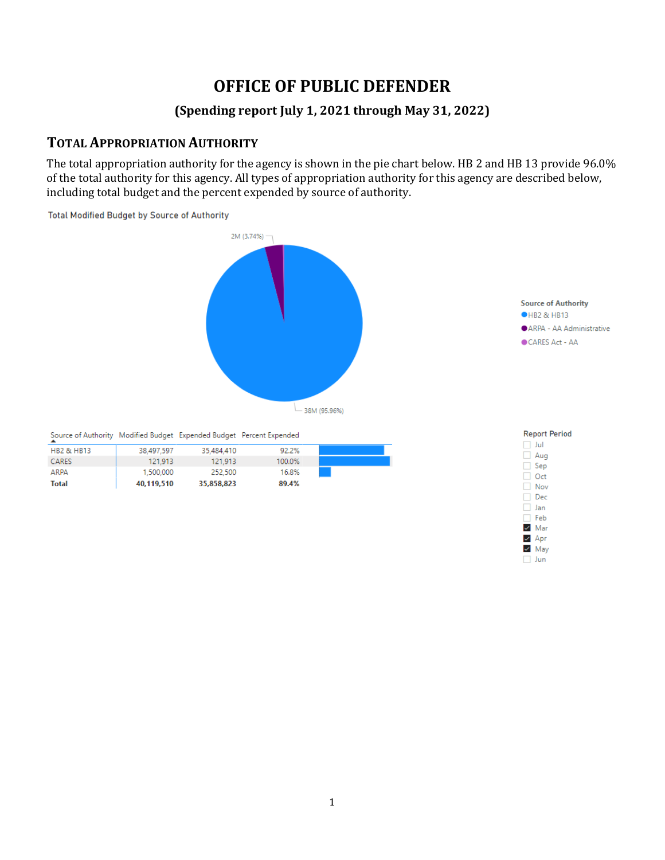# **OFFICE OF PUBLIC DEFENDER**

## **(Spending report July 1, 2021 through May 31, 2022)**

# **TOTAL APPROPRIATION AUTHORITY**

The total appropriation authority for the agency is shown in the pie chart below. HB 2 and HB 13 provide 96.0% of the total authority for this agency. All types of appropriation authority for this agency are described below, including total budget and the percent expended by source of authority.

**Total Modified Budget by Source of Authority**  $2M(3.74\%)$ **Source of Authority OHB2 & HB13** ● ARPA - AA Administrative ● CARES Act - AA  $-$  38M (95.96%) Source of Authority Modified Budget Expended Budget Percent Expended **Report Period**  $\Box$  Jul **HB2 & HB13** 38,497,597 35,484,410 92.2%  $\Box$  Aug CARES 121,913 121,913 100.0%  $\Box$  Sep ARPA 1,500,000 252,500 16.8%  $\Box$  Oct 40,119,510 35,858,823 89.4% **Total**  $\Box$  Nov  $\Box$  Dec  $\Box$  Jan  $\Box$  Feb  $\vee$  Mar

> $\blacktriangleright$  Apr  $\triangledown$  May  $\Box$  Jun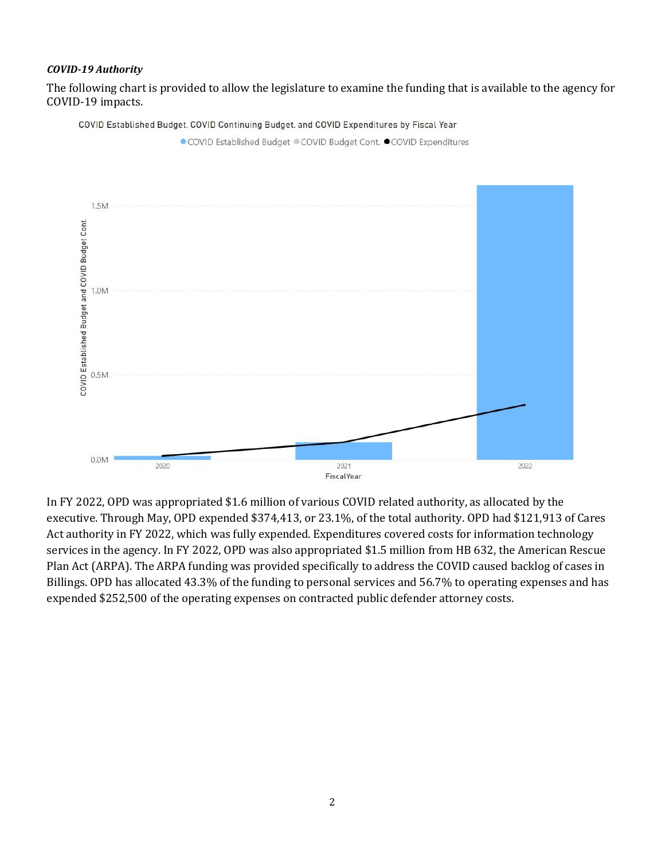#### *COVID-19 Authority*

The following chart is provided to allow the legislature to examine the funding that is available to the agency for COVID-19 impacts.

COVID Established Budget, COVID Continuing Budget. and COVID Expenditures by Fiscal Year

● COVID Established Budget © COVID Budget Cont. ● COVID Expenditures 1.5M



In FY 2022, OPD was appropriated \$1.6 million of various COVID related authority, as allocated by the executive. Through May, OPD expended \$374,413, or 23.1%, of the total authority. OPD had \$121,913 of Cares Act authority in FY 2022, which was fully expended. Expenditures covered costs for information technology services in the agency. In FY 2022, OPD was also appropriated \$1.5 million from HB 632, the American Rescue Plan Act (ARPA). The ARPA funding was provided specifically to address the COVID caused backlog of cases in Billings. OPD has allocated 43.3% of the funding to personal services and 56.7% to operating expenses and has expended \$252,500 of the operating expenses on contracted public defender attorney costs.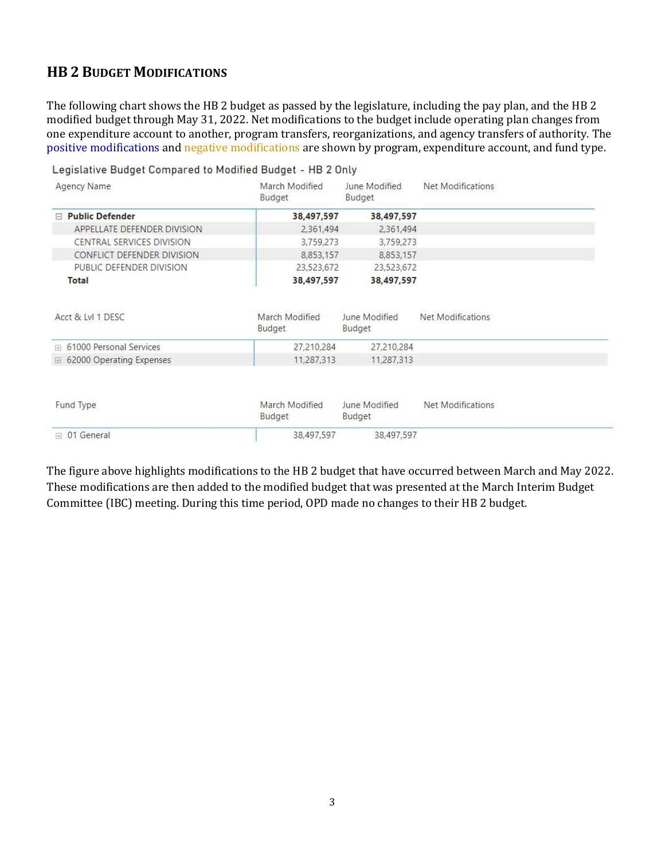# **HB 2 BUDGET MODIFICATIONS**

The following chart shows the HB 2 budget as passed by the legislature, including the pay plan, and the HB 2 modified budget through May 31, 2022. Net modifications to the budget include operating plan changes from one expenditure account to another, program transfers, reorganizations, and agency transfers of authority. The positive modifications and negative modifications are shown by program, expenditure account, and fund type.

| Agency Name                                    | March Modified<br>Budget               | June Modified<br>Budget               | <b>Net Modifications</b> |
|------------------------------------------------|----------------------------------------|---------------------------------------|--------------------------|
| □ Public Defender                              | 38,497,597                             | 38,497,597                            |                          |
| APPELLATE DEFENDER DIVISION                    | 2,361,494                              | 2,361,494                             |                          |
| CENTRAL SERVICES DIVISION                      | 3,759,273                              | 3,759,273                             |                          |
| CONFLICT DEFENDER DIVISION                     | 8,853,157                              | 8,853,157                             |                          |
| PUBLIC DEFENDER DIVISION                       | 23,523,672                             | 23,523,672                            |                          |
| Total                                          | 38,497,597                             | 38,497,597                            |                          |
| Acct & LvI 1 DESC<br>□ 61000 Personal Services | March Modified<br>Budget<br>27,210,284 | June Modified<br>Budget<br>27,210,284 | Net Modifications        |
|                                                |                                        |                                       |                          |
| □ 62000 Operating Expenses                     | 11,287,313                             | 11,287,313                            |                          |
| Fund Type                                      | March Modified<br>Budget               | June Modified<br>Budget               | Net Modifications        |

Legislative Budget Compared to Modified Budget - HB 2 Only

The figure above highlights modifications to the HB 2 budget that have occurred between March and May 2022. These modifications are then added to the modified budget that was presented at the March Interim Budget Committee (IBC) meeting. During this time period, OPD made no changes to their HB 2 budget.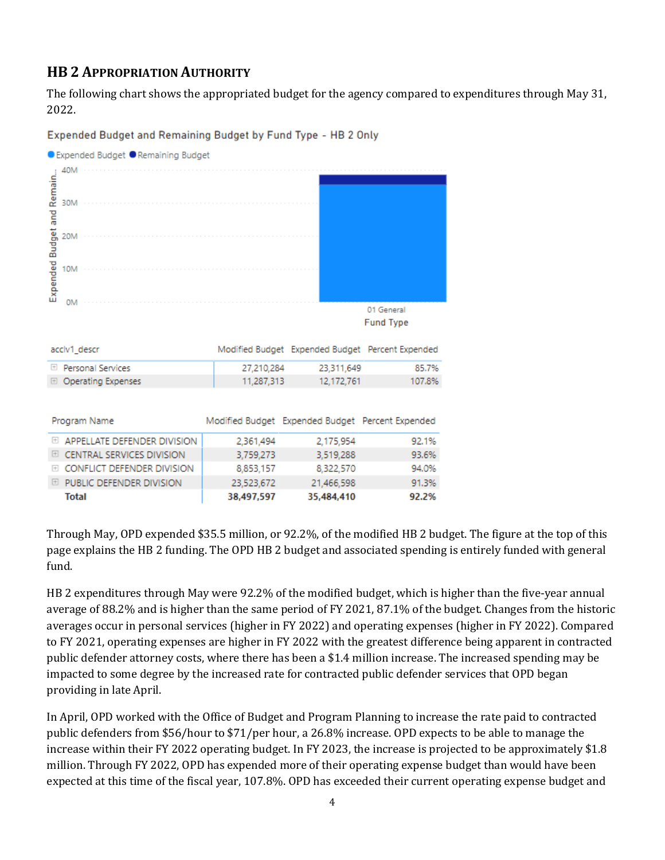# **HB 2 APPROPRIATION AUTHORITY**

The following chart shows the appropriated budget for the agency compared to expenditures through May 31, 2022.

Expended Budget and Remaining Budget by Fund Type - HB 2 Only



Through May, OPD expended \$35.5 million, or 92.2%, of the modified HB 2 budget. The figure at the top of this page explains the HB 2 funding. The OPD HB 2 budget and associated spending is entirely funded with general fund.

HB 2 expenditures through May were 92.2% of the modified budget, which is higher than the five-year annual average of 88.2% and is higher than the same period of FY 2021, 87.1% of the budget. Changes from the historic averages occur in personal services (higher in FY 2022) and operating expenses (higher in FY 2022). Compared to FY 2021, operating expenses are higher in FY 2022 with the greatest difference being apparent in contracted public defender attorney costs, where there has been a \$1.4 million increase. The increased spending may be impacted to some degree by the increased rate for contracted public defender services that OPD began providing in late April.

In April, OPD worked with the Office of Budget and Program Planning to increase the rate paid to contracted public defenders from \$56/hour to \$71/per hour, a 26.8% increase. OPD expects to be able to manage the increase within their FY 2022 operating budget. In FY 2023, the increase is projected to be approximately \$1.8 million. Through FY 2022, OPD has expended more of their operating expense budget than would have been expected at this time of the fiscal year, 107.8%. OPD has exceeded their current operating expense budget and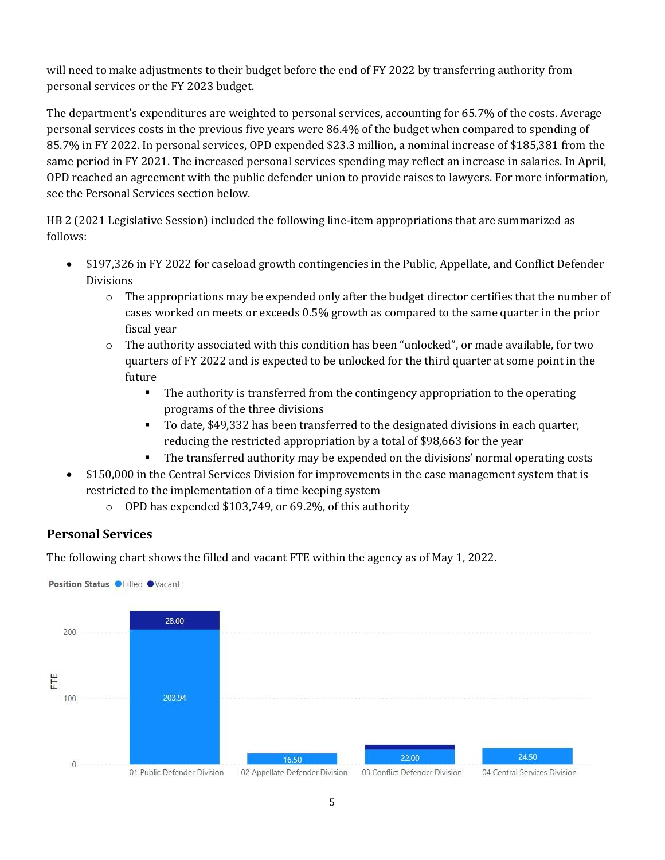will need to make adjustments to their budget before the end of FY 2022 by transferring authority from personal services or the FY 2023 budget.

The department's expenditures are weighted to personal services, accounting for 65.7% of the costs. Average personal services costs in the previous five years were 86.4% of the budget when compared to spending of 85.7% in FY 2022. In personal services, OPD expended \$23.3 million, a nominal increase of \$185,381 from the same period in FY 2021. The increased personal services spending may reflect an increase in salaries. In April, OPD reached an agreement with the public defender union to provide raises to lawyers. For more information, see the Personal Services section below.

HB 2 (2021 Legislative Session) included the following line-item appropriations that are summarized as follows:

- \$197,326 in FY 2022 for caseload growth contingencies in the Public, Appellate, and Conflict Defender Divisions
	- $\circ$  The appropriations may be expended only after the budget director certifies that the number of cases worked on meets or exceeds 0.5% growth as compared to the same quarter in the prior fiscal year
	- o The authority associated with this condition has been "unlocked", or made available, for two quarters of FY 2022 and is expected to be unlocked for the third quarter at some point in the future
		- The authority is transferred from the contingency appropriation to the operating programs of the three divisions
		- To date, \$49,332 has been transferred to the designated divisions in each quarter, reducing the restricted appropriation by a total of \$98,663 for the year
		- The transferred authority may be expended on the divisions' normal operating costs
- \$150,000 in the Central Services Division for improvements in the case management system that is restricted to the implementation of a time keeping system
	- o OPD has expended \$103,749, or 69.2%, of this authority

## **Personal Services**

The following chart shows the filled and vacant FTE within the agency as of May 1, 2022.

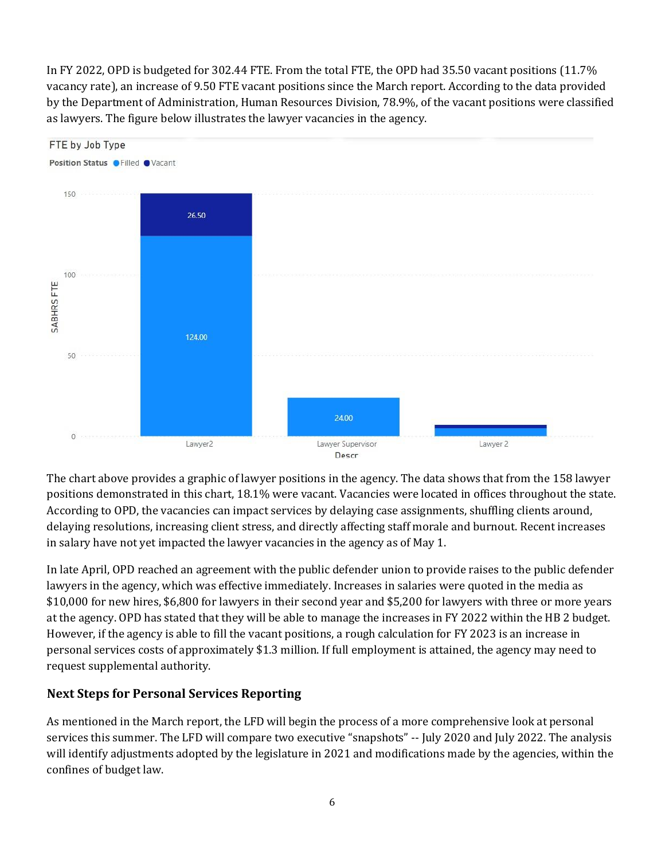In FY 2022, OPD is budgeted for 302.44 FTE. From the total FTE, the OPD had 35.50 vacant positions (11.7% vacancy rate), an increase of 9.50 FTE vacant positions since the March report. According to the data provided by the Department of Administration, Human Resources Division, 78.9%, of the vacant positions were classified as lawyers. The figure below illustrates the lawyer vacancies in the agency.



The chart above provides a graphic of lawyer positions in the agency. The data shows that from the 158 lawyer positions demonstrated in this chart, 18.1% were vacant. Vacancies were located in offices throughout the state. According to OPD, the vacancies can impact services by delaying case assignments, shuffling clients around, delaying resolutions, increasing client stress, and directly affecting staff morale and burnout. Recent increases in salary have not yet impacted the lawyer vacancies in the agency as of May 1.

In late April, OPD reached an agreement with the public defender union to provide raises to the public defender lawyers in the agency, which was effective immediately. Increases in salaries were quoted in the media as \$10,000 for new hires, \$6,800 for lawyers in their second year and \$5,200 for lawyers with three or more years at the agency. OPD has stated that they will be able to manage the increases in FY 2022 within the HB 2 budget. However, if the agency is able to fill the vacant positions, a rough calculation for FY 2023 is an increase in personal services costs of approximately \$1.3 million. If full employment is attained, the agency may need to request supplemental authority.

## **Next Steps for Personal Services Reporting**

As mentioned in the March report, the LFD will begin the process of a more comprehensive look at personal services this summer. The LFD will compare two executive "snapshots" -- July 2020 and July 2022. The analysis will identify adjustments adopted by the legislature in 2021 and modifications made by the agencies, within the confines of budget law.